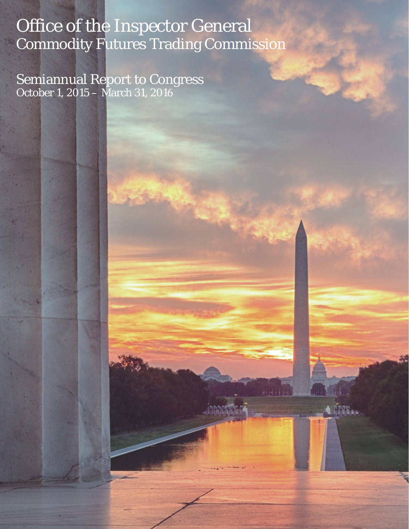Office of the Inspector General Commodity Futures Trading Commission

**ATTEL** 

Semiannual Report to Congress October 1, 2015 – March 31, 2016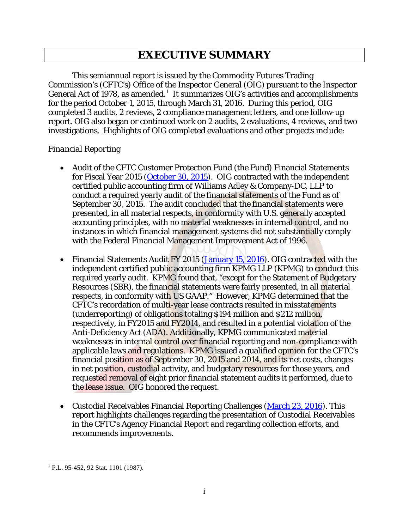# **EXECUTIVE SUMMARY**

<span id="page-1-1"></span>This semiannual report is issued by the Commodity Futures Trading Commission's (CFTC's) Office of the Inspector General (OIG) pursuant to the Inspector General Act of [1](#page-1-0)978, as amended.<sup>1</sup> It summarizes OIG's activities and accomplishments for the period October 1, 2015, through March 31, 2016. During this period, OIG completed 3 audits, 2 reviews, 2 compliance management letters, and one follow-up report. OIG also began or continued work on 2 audits, 2 evaluations, 4 reviews, and two investigations. Highlights of OIG completed evaluations and other projects include:

#### *Financial Reporting*

- Audit of the CFTC Customer Protection Fund (the Fund) Financial Statements for Fiscal Year 2015 [\(October 30, 2015\)](http://www.cftc.gov/idc/groups/public/@aboutcftc/documents/file/cpfreport2015.pdf). OIG contracted with the independent certified public accounting firm of Williams Adley & Company-DC, LLP to conduct a required yearly audit of the financial statements of the Fund as of September 30, 2015. The audit concluded that the financial statements were presented, in all material respects, in conformity with U.S. generally accepted accounting principles, with no material weaknesses in internal control, and no instances in which financial management systems did not substantially comply with the Federal Financial Management Improvement Act of 1996.
- Financial Statements Audit FY 2015 [\(January 15, 2016\)](http://www.cftc.gov/idc/groups/public/@aboutcftc/documents/file/2015finstatementaudit.pdf). OIG contracted with the independent certified public accounting firm KPMG LLP (KPMG) to conduct this required yearly audit. KPMG found that, "except for the Statement of Budgetary Resources (SBR), the financial statements were fairly presented, in all material respects, in conformity with US GAAP." However, KPMG determined that the CFTC's recordation of multi-year lease contracts resulted in misstatements (underreporting) of obligations totaling \$194 million and \$212 million, respectively, in FY2015 and FY2014, and resulted in a potential violation of the Anti-Deficiency Act (ADA). Additionally, KPMG communicated material weaknesses in internal control over financial reporting and non-compliance with applicable laws and regulations. KPMG issued a qualified opinion for the CFTC's financial position as of September 30, 2015 and 2014, and its net costs, changes in net position, custodial activity, and budgetary resources for those years, and requested removal of eight prior financial statement audits it performed, due to the lease issue. OIG honored the request.
- Custodial Receivables Financial Reporting Challenges [\(March 23, 2016\)](http://www.cftc.gov/idc/groups/public/@aboutcftc/documents/file/oig_crfrc032416.pdf). This report highlights challenges regarding the presentation of Custodial Receivables in the CFTC's Agency Financial Report and regarding collection efforts, and recommends improvements.

<span id="page-1-0"></span> $\overline{a}$  $^{1}$  P.L. 95-452, 92 Stat. 1101 (1987).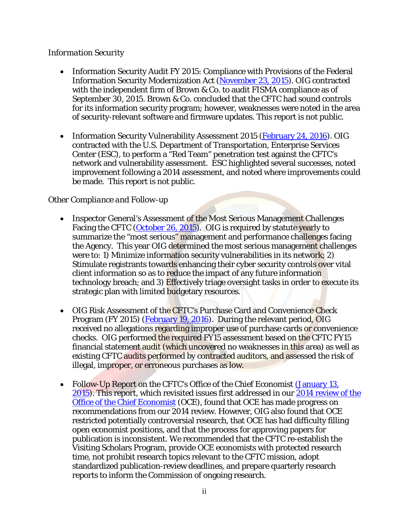#### *Information Security*

- Information Security Audit FY 2015: Compliance with Provisions of the Federal Information Security Modernization Act (November 23, 2015). OIG contracted with the independent firm of Brown & Co. to audit FISMA compliance as of September 30, 2015. Brown & Co. concluded that the CFTC had sound controls for its information security program; however, weaknesses were noted in the area of security-relevant software and firmware updates. This report is not public.
- Information Security Vulnerability Assessment 2015 (February 24, 2016). OIG contracted with the U.S. Department of Transportation, Enterprise Services Center (ESC), to perform a "Red Team" penetration test against the CFTC's network and vulnerability assessment. ESC highlighted several successes, noted improvement following a 2014 assessment, and noted where improvements could be made. This report is not public.

#### *Other Compliance and Follow-up*

- Inspector General's Assessment of the Most Serious Management Challenges Facing the CFTC [\(October 26, 2015\)](http://www.cftc.gov/idc/groups/public/@aboutcftc/documents/file/oigmgmtchall2015.pdf). OIG is required by statute yearly to summarize the "most serious" management and performance challenges facing the Agency. This year OIG determined the most serious management challenges were to: 1) Minimize information security vulnerabilities in its network; 2) Stimulate registrants towards enhancing their cyber security controls over vital client information so as to reduce the impact of any future information technology breach; and 3) Effectively triage oversight tasks in order to execute its strategic plan with limited **budgetary resources**.
- OIG Risk Assessment of the CFTC's Purchase Card and Convenience Check Program (FY 2015) [\(February 19, 2016\)](http://www.cftc.gov/idc/groups/public/@aboutcftc/documents/file/oig_riskassess2015.pdf). During the relevant period, OIG received no allegations regarding improper use of purchase cards or convenience checks. OIG performed the required FY15 assessment based on the CFTC FY15 financial statement audit (which uncovered no weaknesses in this area) as well as existing CFTC audits performed by contracted auditors, and assessed the risk of illegal, improper, or erroneous purchases as low.
- Follow-Up Report on the CFTC's Office of the Chief Economist (January 13, [2015\)](http://www.cftc.gov/idc/groups/public/@aboutcftc/documents/file/oig_oce011316.pdf). This report, which revisited issues first addressed in our [2014 review of the](http://www.cftc.gov/About/OfficeoftheInspectorGeneral/ssLINK/CFTC_046841) Office of the [Chief Economist](http://www.cftc.gov/About/OfficeoftheInspectorGeneral/ssLINK/CFTC_046841) (OCE), found that OCE has made progress on recommendations from our 2014 review. However, OIG also found that OCE restricted potentially controversial research, that OCE has had difficulty filling open economist positions, and that the process for approving papers for publication is inconsistent. We recommended that the CFTC re-establish the Visiting Scholars Program, provide OCE economists with protected research time, not prohibit research topics relevant to the CFTC mission, adopt standardized publication-review deadlines, and prepare quarterly research reports to inform the Commission of ongoing research.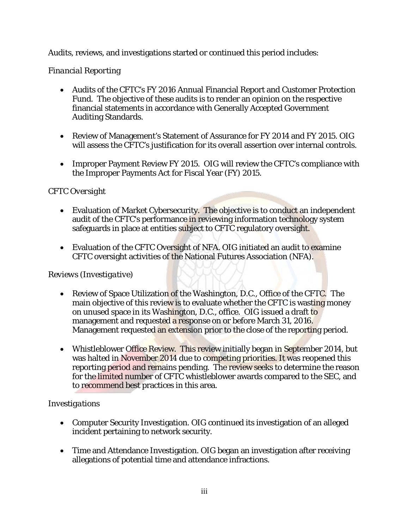Audits, reviews, and investigations started or continued this period includes:

#### *Financial Reporting*

- Audits of the CFTC's FY 2016 Annual Financial Report and Customer Protection Fund. The objective of these audits is to render an opinion on the respective financial statements in accordance with Generally Accepted Government Auditing Standards.
- Review of Management's Statement of Assurance for FY 2014 and FY 2015. OIG will assess the CFTC's justification for its overall assertion over internal controls.
- Improper Payment Review FY 2015. OIG will review the CFTC's compliance with the Improper Payments Act for Fiscal Year (FY) 2015.

#### *CFTC Oversight*

- Evaluation of Market Cybersecurity. The objective is to conduct an independent audit of the CFTC's performance in reviewing information technology system safeguards in place at entities subject to CFTC regulatory oversight.
- Evaluation of the CFTC Oversight of NFA. OIG initiated an audit to examine CFTC oversight activities of the National Futures Association (NFA).

#### *Reviews (Investigative)*

- Review of Space Utilization of the Washington, D.C., Office of the CFTC. The main objective of this review is to evaluate whether the CFTC is wasting money on unused space in its Washington, D.C., office. OIG issued a draft to management and requested a response on or before March 31, 2016. Management requested an extension prior to the close of the reporting period.
- Whistleblower Office Review. This review initially began in September 2014, but was halted in November 2014 due to competing priorities. It was reopened this reporting period and remains pending. The review seeks to determine the reason for the limited number of CFTC whistleblower awards compared to the SEC, and to recommend best practices in this area.

#### *Investigations*

- Computer Security Investigation. OIG continued its investigation of an alleged incident pertaining to network security.
- Time and Attendance Investigation. OIG began an investigation after receiving allegations of potential time and attendance infractions.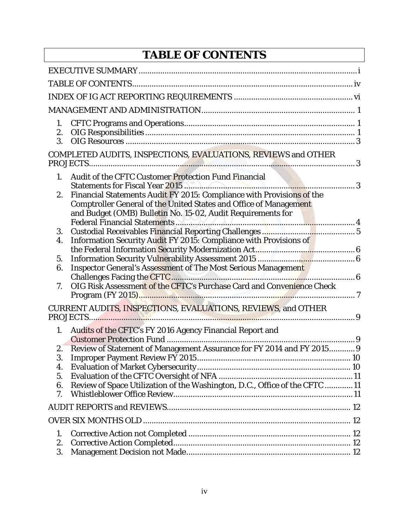# **TABLE OF CONTENTS**

<span id="page-4-0"></span>

| 1.<br>2.<br>3.                                                                                                                                                                                                                                                                       |  |
|--------------------------------------------------------------------------------------------------------------------------------------------------------------------------------------------------------------------------------------------------------------------------------------|--|
| COMPLETED AUDITS, INSPECTIONS, EVALUATIONS, REVIEWS and OTHER<br>PROJECTS.                                                                                                                                                                                                           |  |
| Audit of the CFTC Customer Protection Fund Financial<br>1.<br>. 3<br>Financial Statements Audit FY 2015: Compliance with Provisions of the<br>2.<br>Comptroller General of the United States and Office of Management<br>and Budget (OMB) Bulletin No. 15-02, Audit Requirements for |  |
| 3.<br><b>Information Security Audit FY 2015: Compliance with Provisions of</b><br>4.                                                                                                                                                                                                 |  |
| 5.<br><b>Inspector General's Assessment of The Most Serious Management</b><br>6.                                                                                                                                                                                                     |  |
| OIG Risk Assessment of the CFTC's Purchase Card and Convenience Check<br>7.                                                                                                                                                                                                          |  |
| CURRENT AUDITS, INSPECTIONS, EVALUATIONS, REVIEWS, and OTHER                                                                                                                                                                                                                         |  |
| Audits of the CFTC's FY 2016 Agency Financial Report and<br>1.<br>Review of Statement of Management Assurance for FY 2014 and FY 2015 9<br>2.<br>3.<br>4.<br>5.<br>Review of Space Utilization of the Washington, D.C., Office of the CFTC 11<br>6.<br>7.                            |  |
|                                                                                                                                                                                                                                                                                      |  |
|                                                                                                                                                                                                                                                                                      |  |
| 1.<br>2.<br>3.                                                                                                                                                                                                                                                                       |  |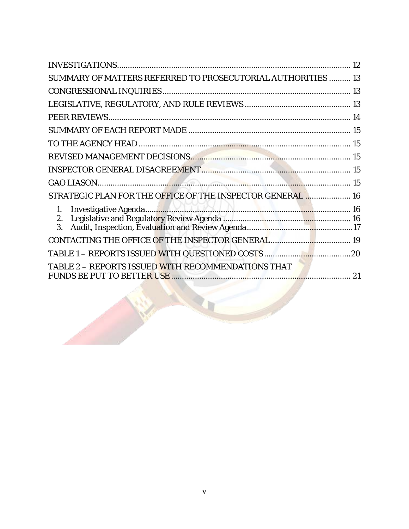|                                                              | 12 |
|--------------------------------------------------------------|----|
| SUMMARY OF MATTERS REFERRED TO PROSECUTORIAL AUTHORITIES  13 |    |
|                                                              |    |
|                                                              |    |
|                                                              |    |
|                                                              |    |
|                                                              |    |
|                                                              |    |
|                                                              |    |
|                                                              |    |
| STRATEGIC PLAN FOR THE OFFICE OF THE INSPECTOR GENERAL  16   |    |
| 1.<br>2.<br>3.                                               |    |
|                                                              |    |
|                                                              |    |
| TABLE 2 - REPORTS ISSUED WITH RECOMMENDATIONS THAT           | 21 |

**Contract of the Contract of Security**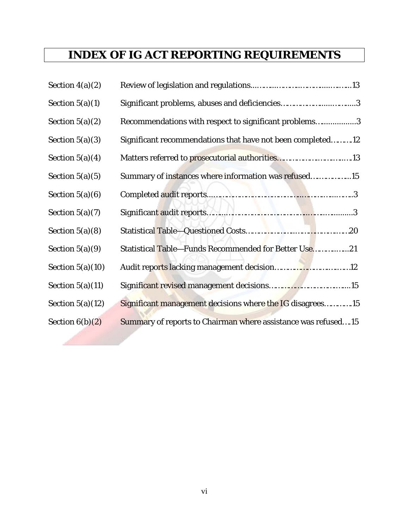# <span id="page-6-0"></span>**INDEX OF IG ACT REPORTING REQUIREMENTS**

| Section $4(a)(2)$  |                                                               |
|--------------------|---------------------------------------------------------------|
| Section $5(a)(1)$  | Significant problems, abuses and deficiencies3                |
| Section $5(a)(2)$  | Recommendations with respect to significant problems3         |
| Section $5(a)(3)$  | Significant recommendations that have not been completed12    |
| Section $5(a)(4)$  |                                                               |
| Section $5(a)(5)$  | Summary of instances where information was refused15          |
| Section $5(a)(6)$  |                                                               |
| Section $5(a)(7)$  |                                                               |
| Section $5(a)(8)$  |                                                               |
| Section $5(a)(9)$  | Statistical Table-Funds Recommended for Better Use21          |
| Section $5(a)(10)$ |                                                               |
| Section $5(a)(11)$ |                                                               |
| Section $5(a)(12)$ | Significant management decisions where the IG disagrees15     |
| Section $6(b)(2)$  | Summary of reports to Chairman where assistance was refused15 |
|                    |                                                               |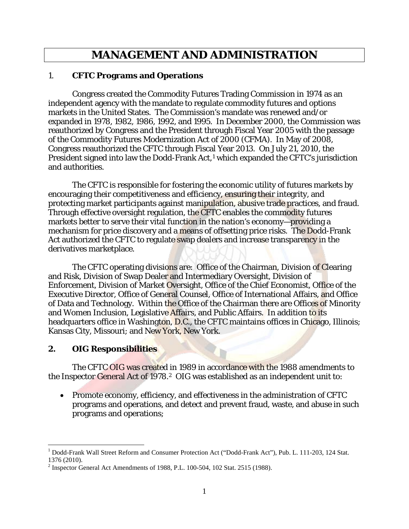### **MANAGEMENT AND ADMINISTRATION**

#### <span id="page-7-1"></span><span id="page-7-0"></span>1. **CFTC Programs and Operations**

Congress created the Commodity Futures Trading Commission in 1974 as an independent agency with the mandate to regulate commodity futures and options markets in the United States. The Commission's mandate was renewed and/or expanded in 1978, 1982, 1986, 1992, and 1995. In December 2000, the Commission was reauthorized by Congress and the President through Fiscal Year 2005 with the passage of the Commodity Futures Modernization Act of 2000 (CFMA). In May of 2008, Congress reauthorized the CFTC through Fiscal Year 2013. On July 21, 2010, the President signed into law the Dodd-Frank Act,<sup>[1](#page-7-3)</sup> which expanded the CFTC's jurisdiction and authorities.

The CFTC is responsible for fostering the economic utility of futures markets by encouraging their competitiveness and efficiency, ensuring their integrity, and protecting market participants against manipulation, abusive trade practices, and fraud. Through effective oversight regulation, the CFTC enables the commodity futures markets better to serve their vital function in the nation's economy—providing a mechanism for price discovery and a means of offsetting price risks. The Dodd-Frank Act authorized the CFTC to regulate swap dealers and increase transparency in the derivatives marketplace.

The CFTC operating divisions are: Office of the Chairman, Division of Clearing and Risk, Division of Swap Dealer and Intermediary Oversight, Division of Enforcement, Division of Market Oversight, Office of the Chief Economist, Office of the Executive Director, Office of General Counsel, Office of International Affairs, and Office of Data and Technology. Within the Office of the Chairman there are Offices of Minority and Women Inclusion, Legislative Affairs, and Public Affairs. In addition to its headquarters office in Washington, D.C., the CFTC maintains offices in Chicago, Illinois; Kansas City, Missouri; and New York, New York.

#### <span id="page-7-2"></span>**2. OIG Responsibilities**

 $\overline{a}$ 

The CFTC OIG was created in 1989 in accordance with the 1988 amendments to the Inspector General Act of 1978.<sup>[2](#page-7-4)</sup> OIG was established as an independent unit to:

• Promote economy, efficiency, and effectiveness in the administration of CFTC programs and operations, and detect and prevent fraud, waste, and abuse in such programs and operations;

<span id="page-7-3"></span><sup>&</sup>lt;sup>1</sup> Dodd-Frank Wall Street Reform and Consumer Protection Act ("Dodd-Frank Act"), Pub. L. 111-203, 124 Stat. 1376 (2010).

<span id="page-7-4"></span><sup>&</sup>lt;sup>2</sup> Inspector General Act Amendments of 1988, P.L. 100-504, 102 Stat. 2515 (1988).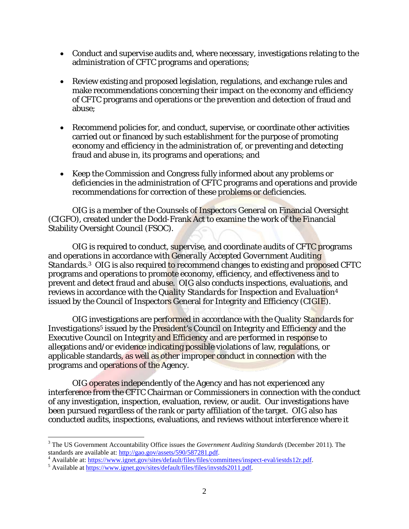- Conduct and supervise audits and, where necessary, investigations relating to the administration of CFTC programs and operations;
- Review existing and proposed legislation, regulations, and exchange rules and make recommendations concerning their impact on the economy and efficiency of CFTC programs and operations or the prevention and detection of fraud and abuse;
- Recommend policies for, and conduct, supervise, or coordinate other activities carried out or financed by such establishment for the purpose of promoting economy and efficiency in the administration of, or preventing and detecting fraud and abuse in, its programs and operations; and
- Keep the Commission and Congress fully informed about any problems or deficiencies in the administration of CFTC programs and operations and provide recommendations for correction of these problems or deficiencies.

OIG is a member of the Counsels of Inspectors General on Financial Oversight (CIGFO), created under the Dodd-Frank Act to examine the work of the Financial Stability Oversight Council (FSOC).

OIG is required to conduct, supervise, and coordinate audits of CFTC programs and operations in accordance with *Generally Accepted Government Auditing Standards*.[3](#page-8-0) OIG is also required to recommend changes to existing and proposed CFTC programs and operations to promote economy, efficiency, and effectiveness and to prevent and detect fraud and abuse. OIG also conducts inspections, evaluations, and reviews in accordance with the *Quality Standards for Inspection and Evaluation*[4](#page-8-1) issued by the Council of Inspectors General for Integrity and Efficiency (CIGIE).

OIG investigations are performed in accordance with the *Quality Standards for Investigations*<sup>[5](#page-8-2)</sup> issued by the President's Council on Integrity and Efficiency and the Executive Council on Integrity and Efficiency and are performed in response to allegations and/or evidence indicating possible violations of law, regulations, or applicable standards, as well as other improper conduct in connection with the programs and operations of the Agency.

 OIG operates independently of the Agency and has not experienced any interference from the CFTC Chairman or Commissioners in connection with the conduct of any investigation, inspection, evaluation, review, or audit. Our investigations have been pursued regardless of the rank or party affiliation of the target. OIG also has conducted audits, inspections, evaluations, and reviews without interference where it

 $\overline{a}$ 

<span id="page-8-0"></span><sup>&</sup>lt;sup>3</sup> The US Government Accountability Office issues the *Government Auditing Standards* (December 2011). The standards are available at: http://gao.gov/assets/590/587281.pdf.

<span id="page-8-2"></span><span id="page-8-1"></span><sup>4&</sup>lt;br>Available at[: https://www.ignet.gov/sites/default/files/files/committees/inspect-eval/iestds12r.pdf.](https://www.ignet.gov/sites/default/files/files/committees/inspect-eval/iestds12r.pdf)<br>5<br>Available at https://www.ignet.gov/sites/default/files/files/invstds2011.pdf.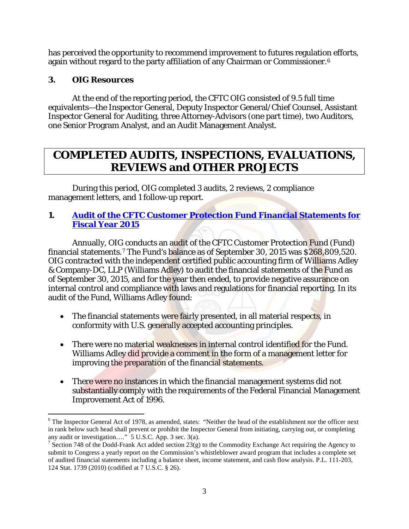has perceived the opportunity to recommend improvement to futures regulation efforts, again without regard to the party affiliation of any Chairman or Commissioner.<sup>[6](#page-9-3)</sup>

#### <span id="page-9-0"></span>**3. OIG Resources**

At the end of the reporting period, the CFTC OIG consisted of 9.5 full time equivalents—the Inspector General, Deputy Inspector General/Chief Counsel, Assistant Inspector General for Auditing, three Attorney-Advisors (one part time), two Auditors, one Senior Program Analyst, and an Audit Management Analyst.

# <span id="page-9-1"></span>**COMPLETED AUDITS, INSPECTIONS, EVALUATIONS, REVIEWS and OTHER PROJECTS**

During this period, OIG completed 3 audits, 2 reviews, 2 compliance management letters, and 1 follow-up report.

#### <span id="page-9-2"></span>**1. [Audit of the CFTC Customer Protection Fund Financial Statements for](http://www.cftc.gov/idc/groups/public/@aboutcftc/documents/file/cpfreport2015.pdf)  [Fiscal Year 2015](http://www.cftc.gov/idc/groups/public/@aboutcftc/documents/file/cpfreport2015.pdf)**

Annually, OIG conducts an audit of the CFTC Customer Protection Fund (Fund) financial statements.[7](#page-9-4) The Fund's balance as of September 30, 2015 was \$268,809,520. OIG contracted with the independent certified public accounting firm of Williams Adley & Company-DC, LLP (Williams Adley) to audit the financial statements of the Fund as of September 30, 2015, and for the year then ended, to provide negative assurance on internal control and compliance with laws and regulations for financial reporting. In its audit of the Fund, Williams Adley found:

- The financial statements were fairly presented, in all material respects, in conformity with U.S. generally accepted accounting principles.
- There were no material weaknesses in internal control identified for the Fund. Williams Adley did provide a comment in the form of a management letter for improving the preparation of the financial statements.
- There were no instances in which the financial management systems did not substantially comply with the requirements of the Federal Financial Management Improvement Act of 1996.

<span id="page-9-3"></span> $\overline{a}$ <sup>6</sup> The Inspector General Act of 1978, as amended, states: "Neither the head of the establishment nor the officer next in rank below such head shall prevent or prohibit the Inspector General from initiating, carrying out, or completing any audit or investigation...." 5 U.S.C. App. 3 sec. 3(a).

<span id="page-9-4"></span><sup>&</sup>lt;sup>7</sup> Section 748 of the Dodd-Frank Act added section 23(g) to the Commodity Exchange Act requiring the Agency to submit to Congress a yearly report on the Commission's whistleblower award program that includes a complete set of audited financial statements including a balance sheet, income statement, and cash flow analysis. P.L. 111-203, 124 Stat. 1739 (2010) (codified at 7 U.S.C. § 26).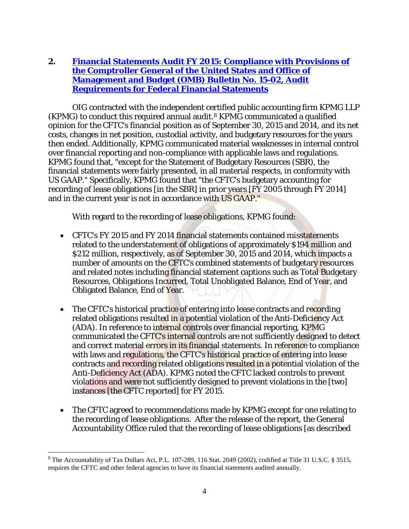#### <span id="page-10-0"></span>**2. [Financial Statements Audit FY 2015: Compliance with Provisions of](http://www.cftc.gov/idc/groups/public/@aboutcftc/documents/file/2015finstatementaudit.pdf)  [the Comptroller General of the United States](http://www.cftc.gov/idc/groups/public/@aboutcftc/documents/file/2015finstatementaudit.pdf) and Office of [Management and Budget \(OMB\) Bulletin No. 15-02, Audit](http://www.cftc.gov/idc/groups/public/@aboutcftc/documents/file/2015finstatementaudit.pdf)  [Requirements for Federal Financial Statements](http://www.cftc.gov/idc/groups/public/@aboutcftc/documents/file/2015finstatementaudit.pdf)**

OIG contracted with the independent certified public accounting firm KPMG LLP (KPMG) to conduct this required annual audit.[8](#page-10-1) KPMG communicated a qualified opinion for the CFTC's financial position as of September 30, 2015 and 2014, and its net costs, changes in net position, custodial activity, and budgetary resources for the years then ended. Additionally, KPMG communicated material weaknesses in internal control over financial reporting and non-compliance with applicable laws and regulations. KPMG found that, "except for the Statement of Budgetary Resources (SBR), the financial statements were fairly presented, in all material respects, in conformity with US GAAP." Specifically, KPMG found that "the CFTC's budgetary accounting for recording of lease obligations [in the SBR] in prior years [FY 2005 through FY 2014] and in the current year is not in accordance with US GAAP."

With regard to the recording of lease obligations, KPMG found:

- CFTC's FY 2015 and FY 2014 financial statements contained misstatements related to the understatement of obligations of approximately \$194 million and \$212 million, respectively, as of September 30, 2015 and 2014, which impacts a number of amounts on the CFTC's combined statements of budgetary resources and related notes including financial statement captions such as Total Budgetary Resources, Obligations Incurred, Total Unobligated Balance, End of Year, and Obligated Balance, End of Year.
- The CFTC's historical practice of entering into lease contracts and recording related obligations resulted in a potential violation of the Anti-Deficiency Act (ADA). In reference to internal controls over financial reporting, KPMG communicated the CFTC's internal controls are not sufficiently designed to detect and correct material errors in its financial statements. In reference to compliance with laws and regulations, the CFTC's historical practice of entering into lease contracts and recording related obligations resulted in a potential violation of the Anti-Deficiency Act (ADA). KPMG noted the CFTC lacked controls to prevent violations and were not sufficiently designed to prevent violations in the [two] instances [the CFTC reported] for FY 2015.
- The CFTC agreed to recommendations made by KPMG except for one relating to the recording of lease obligations. After the release of the report, the General Accountability Office ruled that the recording of lease obligations [as described

<span id="page-10-1"></span> $\overline{a}$ <sup>8</sup> The Accountability of Tax Dollars Act, P.L. 107-289, 116 Stat. 2049 (2002), codified at Title 31 U.S.C. § 3515, requires the CFTC and other federal agencies to have its financial statements audited annually.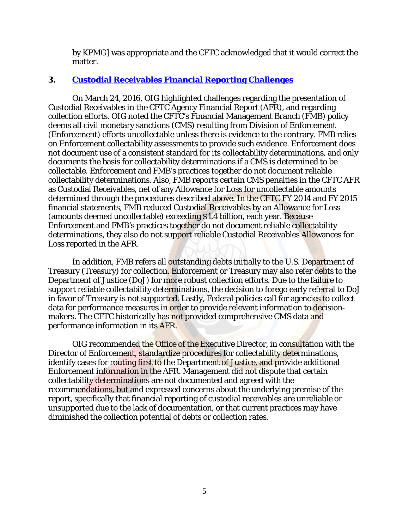by KPMG] was appropriate and the CFTC acknowledged that it would correct the matter.

#### <span id="page-11-0"></span>**3. [Custodial Receivables Financial Reporting Challenges](http://www.cftc.gov/idc/groups/public/@aboutcftc/documents/file/oig_crfrc032416.pdf)**

On March 24, 2016, OIG highlighted challenges regarding the presentation of Custodial Receivables in the CFTC Agency Financial Report (AFR), and regarding collection efforts. OIG noted the CFTC's Financial Management Branch (FMB) policy deems all civil monetary sanctions (CMS) resulting from Division of Enforcement (Enforcement) efforts uncollectable unless there is evidence to the contrary. FMB relies on Enforcement collectability assessments to provide such evidence. Enforcement does not document use of a consistent standard for its collectability determinations, and only documents the basis for collectability determinations if a CMS is determined to be collectable. Enforcement and FMB's practices together do not document reliable collectability determinations. Also, FMB reports certain CMS penalties in the CFTC AFR as Custodial Receivables, net of any Allowance for Loss for uncollectable amounts determined through the procedures described above. In the CFTC FY 2014 and FY 2015 financial statements, FMB reduced Custodial Receivables by an Allowance for Loss (amounts deemed uncollectable) exceeding \$1.4 billion, each year. Because Enforcement and FMB's practices together do not document reliable collectability determinations, they also do not support reliable Custodial Receivables Allowances for Loss reported in the AFR.

In addition, FMB refers all outstanding debts initially to the U.S. Department of Treasury (Treasury) for collection. Enforcement or Treasury may also refer debts to the Department of Justice (DoJ) for more robust collection efforts. Due to the failure to support reliable collectability determinations, the decision to forego early referral to DoJ in favor of Treasury is not supported. Lastly, Federal policies call for agencies to collect data for performance measures in order to provide relevant information to decisionmakers. The CFTC historically has not provided comprehensive CMS data and performance information in its AFR.

OIG recommended the Office of the Executive Director, in consultation with the Director of Enforcement, standardize procedures for collectability determinations, identify cases for routing first to the Department of Justice, and provide additional Enforcement information in the AFR. Management did not dispute that certain collectability determinations are not documented and agreed with the recommendations, but and expressed concerns about the underlying premise of the report, specifically that financial reporting of custodial receivables are unreliable or unsupported due to the lack of documentation, or that current practices may have diminished the collection potential of debts or collection rates.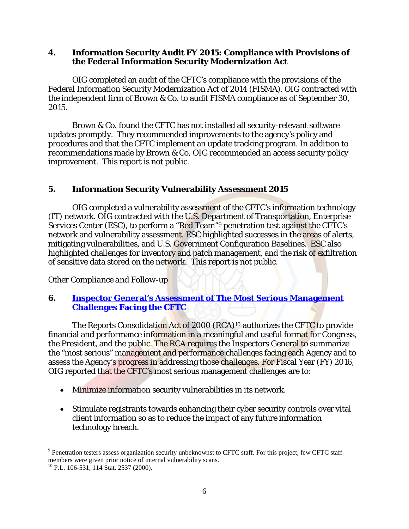#### <span id="page-12-0"></span>**4. Information Security Audit FY 2015: Compliance with Provisions of the Federal Information Security Modernization Act**

OIG completed an audit of the CFTC's compliance with the provisions of the Federal Information Security Modernization Act of 2014 (FISMA). OIG contracted with the independent firm of Brown & Co. to audit FISMA compliance as of September 30, 2015.

Brown & Co. found the CFTC has not installed all security-relevant software updates promptly. They recommended improvements to the agency's policy and procedures and that the CFTC implement an update tracking program. In addition to recommendations made by Brown & Co, OIG recommended an access security policy improvement. This report is not public.

#### <span id="page-12-1"></span>**5. Information Security Vulnerability Assessment 2015**

OIG completed a vulnerability assessment of the CFTC's information technology  $(IT)$  network. OIG contracted with the U.S. Department of Transportation, Enterprise Services Center (ESC), to perform a "Red Team"[9](#page-12-3) penetration test against the CFTC's network and vulnerability assessment. ESC highlighted successes in the areas of alerts, mitigating vulnerabilities, and U.S. Government Configuration Baselines. ESC also highlighted challenges for inventory and patch management, and the risk of exfiltration of sensitive data stored on the network. This report is not public.

#### *Other Compliance and Follow-up*

#### <span id="page-12-2"></span>**6. [Inspector General's Assessment of The Most Serious Management](http://www.cftc.gov/idc/groups/public/@aboutcftc/documents/file/oigmgmtchall2015.pdf)  [Challenges Facing the CFTC](http://www.cftc.gov/idc/groups/public/@aboutcftc/documents/file/oigmgmtchall2015.pdf)**

The Reports Consolidation Act of 2000 (RCA)<sup>[10](#page-12-4)</sup> authorizes the CFTC to provide financial and performance information in a meaningful and useful format for Congress, the President, and the public. The RCA requires the Inspectors General to summarize the "most serious" management and performance challenges facing each Agency and to assess the Agency's progress in addressing those challenges. For Fiscal Year (FY) 2016, OIG reported that the CFTC's most serious management challenges are to:

- Minimize information security vulnerabilities in its network.
- Stimulate registrants towards enhancing their cyber security controls over vital client information so as to reduce the impact of any future information technology breach.

 $\overline{a}$ 

<span id="page-12-3"></span><sup>&</sup>lt;sup>9</sup> Penetration testers assess organization security unbeknownst to CFTC staff. For this project, few CFTC staff members were given prior notice of internal vulnerability scans.<br><sup>10</sup> P.L. 106-531, 114 Stat. 2537 (2000).

<span id="page-12-4"></span>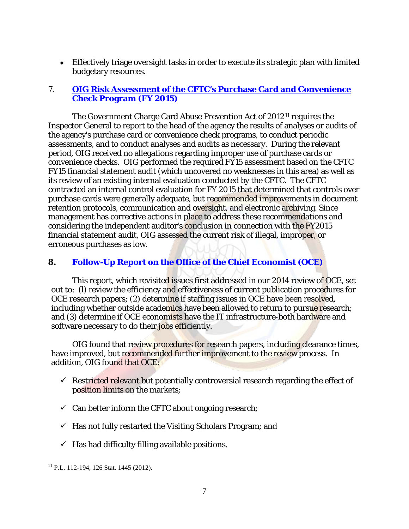• Effectively triage oversight tasks in order to execute its strategic plan with limited budgetary resources.

#### <span id="page-13-0"></span>7. **[OIG Risk Assessment of the CFTC's Purchase Card and Convenience](http://www.cftc.gov/idc/groups/public/@aboutcftc/documents/file/oig_riskassess2015.pdf)  [Check Program \(FY 2015\)](http://www.cftc.gov/idc/groups/public/@aboutcftc/documents/file/oig_riskassess2015.pdf)**

The Government Charge Card Abuse Prevention Act of 2012[11](#page-13-1) requires the Inspector General to report to the head of the agency the results of analyses or audits of the agency's purchase card or convenience check programs, to conduct periodic assessments, and to conduct analyses and audits as necessary. During the relevant period, OIG received no allegations regarding improper use of purchase cards or convenience checks. OIG performed the required FY15 assessment based on the CFTC FY15 financial statement audit (which uncovered no weaknesses in this area) as well as its review of an existing internal evaluation conducted by the CFTC. The CFTC contracted an internal control evaluation for FY 2015 that determined that controls over purchase cards were generally adequate, but recommended improvements in document retention protocols, communication and oversight, and electronic archiving. Since management has corrective actions in place to address these recommendations and considering the independent auditor's conclusion in connection with the FY2015 financial statement audit, OIG assessed the current risk of illegal, improper, or erroneous purchases as low.

#### **8. [Follow-Up Report on the Office of the Chief Economist](http://www.cftc.gov/idc/groups/public/@aboutcftc/documents/file/oig_oce011316.pdf) (OCE)**

This report, which revisited issues first addressed in our 2014 review of OCE, set out to: (I) review the efficiency and effectiveness of current publication procedures for OCE research papers; (2) determine if staffing issues in OCE have been resolved, including whether outside academics have been allowed to return to pursue research; and (3) determine if OCE economists have the IT infrastructure-both hardware and software necessary to do their jobs efficiently.

OIG found that review procedures for research papers, including clearance times, have improved, but recommended further improvement to the review process. In addition, OIG found that OCE:

- $\checkmark$  Restricted relevant but potentially controversial research regarding the effect of position limits on the markets;
- $\checkmark$  Can better inform the CFTC about ongoing research;
- $\checkmark$  Has not fully restarted the Visiting Scholars Program; and
- $\checkmark$  Has had difficulty filling available positions.

<span id="page-13-1"></span> $\overline{a}$ <sup>11</sup> P.L. 112-194, 126 Stat. 1445 (2012).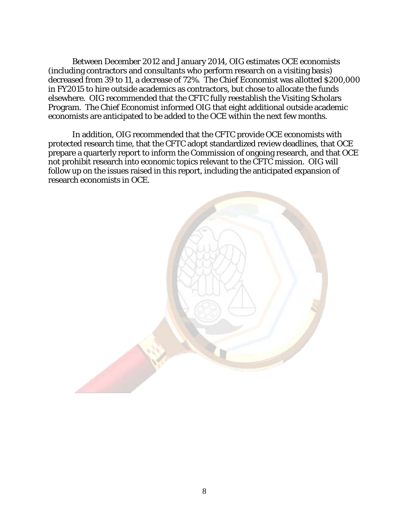Between December 2012 and January 2014, OIG estimates OCE economists (including contractors and consultants who perform research on a visiting basis) decreased from 39 to 11, a decrease of 72%. The Chief Economist was allotted \$200,000 in FY2015 to hire outside academics as contractors, but chose to allocate the funds elsewhere. OIG recommended that the CFTC fully reestablish the Visiting Scholars Program. The Chief Economist informed OIG that eight additional outside academic economists are anticipated to be added to the OCE within the next few months.

In addition, OIG recommended that the CFTC provide OCE economists with protected research time, that the CFTC adopt standardized review deadlines, that OCE prepare a quarterly report to inform the Commission of ongoing research, and that OCE not prohibit research into economic topics relevant to the CFTC mission. OIG will follow up on the issues raised in this report, including the anticipated expansion of research economists in OCE.

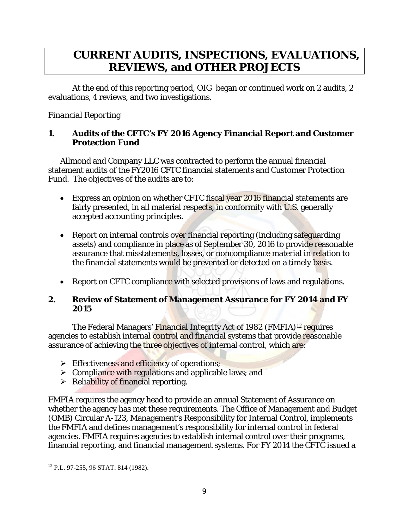# <span id="page-15-0"></span>**CURRENT AUDITS, INSPECTIONS, EVALUATIONS, REVIEWS, and OTHER PROJECTS**

At the end of this reporting period, OIG began or continued work on 2 audits, 2 evaluations, 4 reviews, and two investigations.

#### *Financial Reporting*

#### <span id="page-15-1"></span>**1. Audits of the CFTC's FY 2016 Agency Financial Report and Customer Protection Fund**

Allmond and Company LLC was contracted to perform the annual financial statement audits of the FY2016 CFTC financial statements and Customer Protection Fund. The objectives of the audits are to:

- Express an opinion on whether CFTC fiscal year 2016 financial statements are fairly presented, in all material respects, in conformity with U.S. generally accepted accounting principles.
- Report on internal controls over financial reporting (including safeguarding assets) and compliance in place as of September 30, 2016 to provide reasonable assurance that misstatements, losses, or noncompliance material in relation to the financial statements would be prevented or detected on a timely basis.
- Report on CFTC compliance with selected provisions of laws and regulations.

#### <span id="page-15-2"></span>**2. Review of Statement of Management Assurance for FY 2014 and FY 2015**

The Federal Managers' Financial Integrity Act of 1982 (FMFIA)<sup>[12](#page-15-3)</sup> requires agencies to establish internal control and financial systems that provide reasonable assurance of achieving the three objectives of internal control, which are:

- $\triangleright$  Effectiveness and efficiency of operations;
- $\triangleright$  Compliance with regulations and applicable laws; and
- $\triangleright$  Reliability of financial reporting.

FMFIA requires the agency head to provide an annual Statement of Assurance on whether the agency has met these requirements. The Office of Management and Budget (OMB) Circular A-123, Management's Responsibility for Internal Control, implements the FMFIA and defines management's responsibility for internal control in federal agencies. FMFIA requires agencies to establish internal control over their programs, financial reporting, and financial management systems. For FY 2014 the CFTC issued a

<span id="page-15-3"></span> $\overline{a}$ <sup>12</sup> P.L. 97-255, 96 STAT. 814 (1982).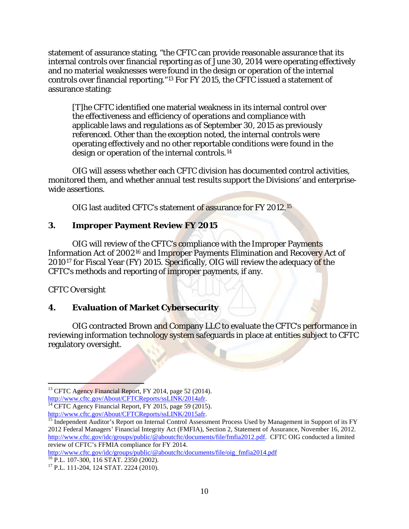statement of assurance stating, "the CFTC can provide reasonable assurance that its internal controls over financial reporting as of June 30, 2014 were operating effectively and no material weaknesses were found in the design or operation of the internal controls over financial reporting."[13](#page-16-2) For FY 2015, the CFTC issued a statement of assurance stating:

[T]he CFTC identified one material weakness in its internal control over the effectiveness and efficiency of operations and compliance with applicable laws and regulations as of September 30, 2015 as previously referenced. Other than the exception noted, the internal controls were operating effectively and no other reportable conditions were found in the design or operation of the internal controls.[14](#page-16-3)

OIG will assess whether each CFTC division has documented control activities, monitored them, and whether annual test results support the Divisions' and enterprisewide assertions.

OIG last audited CFTC's statement of assurance for FY 2012.[15](#page-16-4) 

#### <span id="page-16-0"></span>**3. Improper Payment Review FY 2015**

OIG will review of the CFTC's compliance with the Improper Payments Information Act of 2002[16](#page-16-5) and Improper Payments Elimination and Recovery Act of 2010[17](#page-16-6) for Fiscal Year (FY) 2015. Specifically, OIG will review the adequacy of the CFTC's methods and reporting of improper payments, if any.

#### *CFTC Oversight*

#### <span id="page-16-1"></span>**4. Evaluation of Market Cybersecurity**

OIG contracted Brown and Company LLC to evaluate the CFTC's performance in reviewing information technology system safeguards in place at entities subject to CFTC regulatory oversight.

[http://www.cftc.gov/idc/groups/public/@aboutcftc/documents/file/oig\\_fmfia2014.pdf](http://www.cftc.gov/idc/groups/public/@aboutcftc/documents/file/oig_fmfia2014.pdf)

 $\overline{a}$ <sup>13</sup> CFTC Agency Financial Report, FY 2014, page 52 (2014).

<span id="page-16-3"></span><span id="page-16-2"></span>http://www.cftc.gov/About/CFTCReports/ssLINK/2014afr.<sup>14</sup> CFTC Agency Financial Report, FY 2015, page 59 (2015).<br>http://www.cftc.gov/About/CFTCReports/ssLINK/2015afr.

<span id="page-16-4"></span>If Independent Auditor's Report on Internal Control Assessment Process Used by Management in Support of its FY 2012 Federal Managers' Financial Integrity Act (FMFIA), Section 2, Statement of Assurance, November 16, 2012. [http://www.cftc.gov/idc/groups/public/@aboutcftc/documents/file/fmfia2012.pdf.](http://www.cftc.gov/idc/groups/public/@aboutcftc/documents/file/fmfia2012.pdf) CFTC OIG conducted a limited review of CFTC's FFMIA compliance for FY 2014.

<span id="page-16-5"></span> $\frac{16}{16}$  P.L. 107-300, 116 STAT. 2350 (2002).<br><sup>17</sup> P.L. 111-204, 124 STAT. 2224 (2010).

<span id="page-16-6"></span>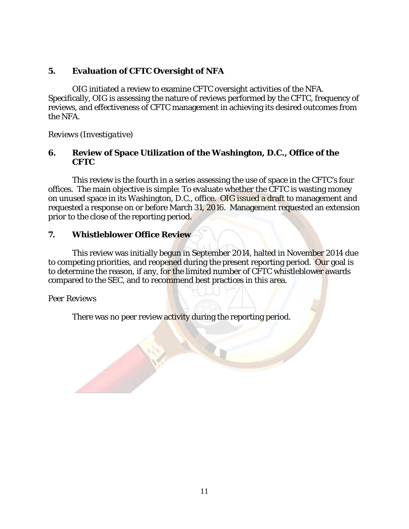#### <span id="page-17-0"></span>**5. Evaluation of CFTC Oversight of NFA**

OIG initiated a review to examine CFTC oversight activities of the NFA. Specifically, OIG is assessing the nature of reviews performed by the CFTC, frequency of reviews, and effectiveness of CFTC management in achieving its desired outcomes from the NFA.

#### *Reviews (Investigative)*

#### <span id="page-17-2"></span><span id="page-17-1"></span>**6. Review of Space Utilization of the Washington, D.C., Office of the CFTC**

This review is the fourth in a series assessing the use of space in the CFTC's four offices. The main objective is simple: To evaluate whether the CFTC is wasting money on unused space in its Washington, D.C., office. OIG issued a draft to management and requested a response on or before March 31, 2016. Management requested an extension prior to the close of the reporting period.

#### <span id="page-17-3"></span>**7. Whistleblower Office Review**

This review was initially begun in September 2014, halted in November 2014 due to competing priorities, and reopened during the present reporting period. Our goal is to determine the reason, if any, for the limited number of CFTC whistleblower awards compared to the SEC, and to recommend best practices in this area.

#### *Peer Reviews*

There was no peer review activity during the reporting period.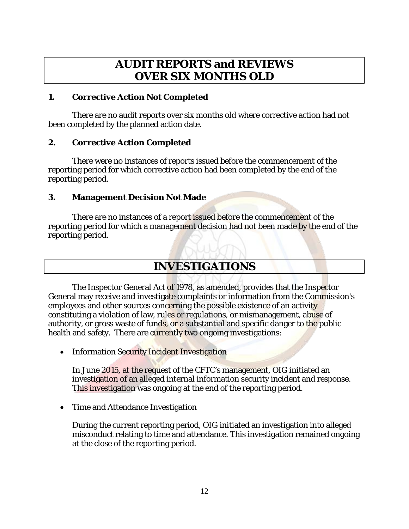# **AUDIT REPORTS and REVIEWS OVER SIX MONTHS OLD**

#### <span id="page-18-2"></span><span id="page-18-1"></span><span id="page-18-0"></span>**1. Corrective Action Not Completed**

There are no audit reports over six months old where corrective action had not been completed by the planned action date.

#### <span id="page-18-3"></span>**2. Corrective Action Completed**

There were no instances of reports issued before the commencement of the reporting period for which corrective action had been completed by the end of the reporting period.

#### <span id="page-18-4"></span>**3. Management Decision Not Made**

There are no instances of a report issued before the commencement of the reporting period for which a management decision had not been made by the end of the reporting period.

# **INVESTIGATIONS**

<span id="page-18-5"></span>The Inspector General Act of 1978, as amended, provides that the Inspector General may receive and investigate complaints or information from the Commission's employees and other sources concerning the possible existence of an activity constituting a violation of law, rules or regulations, or mismanagement, abuse of authority, or gross waste of funds, or a substantial and specific danger to the public health and safety. There are currently two ongoing investigations:

• Information Security Incident Investigation

In June 2015, at the request of the CFTC's management, OIG initiated an investigation of an alleged internal information security incident and response. This investigation was ongoing at the end of the reporting period.

• Time and Attendance Investigation

During the current reporting period, OIG initiated an investigation into alleged misconduct relating to time and attendance. This investigation remained ongoing at the close of the reporting period.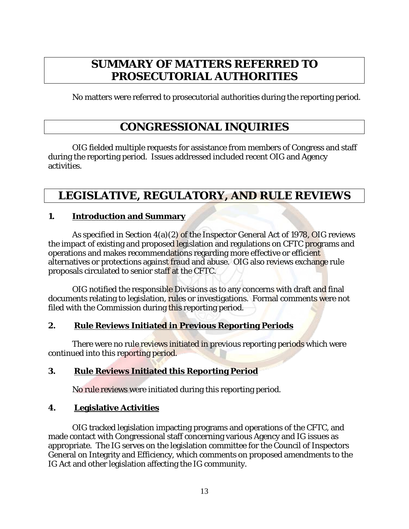# <span id="page-19-0"></span>**SUMMARY OF MATTERS REFERRED TO PROSECUTORIAL AUTHORITIES**

No matters were referred to prosecutorial authorities during the reporting period.

### **CONGRESSIONAL INQUIRIES**

<span id="page-19-1"></span>OIG fielded multiple requests for assistance from members of Congress and staff during the reporting period. Issues addressed included recent OIG and Agency activities.

## <span id="page-19-2"></span>**LEGISLATIVE, REGULATORY, AND RULE REVIEWS**

#### **1. Introduction and Summary**

As specified in Section  $4(a)(2)$  of the Inspector General Act of 1978, OIG reviews the impact of existing and proposed legislation and regulations on CFTC programs and operations and makes recommendations regarding more effective or efficient alternatives or protections against fraud and abuse. OIG also reviews exchange rule proposals circulated to senior staff at the CFTC.

OIG notified the responsible Divisions as to any concerns with draft and final documents relating to legislation, rules or investigations. Formal comments were not filed with the Commission during this reporting period.

#### **2. Rule Reviews Initiated in Previous Reporting Periods**

There were no rule reviews initiated in previous reporting periods which were continued into this reporting period.

#### **3. Rule Reviews Initiated this Reporting Period**

No rule reviews were initiated during this reporting period.

#### **4. Legislative Activities**

OIG tracked legislation impacting programs and operations of the CFTC, and made contact with Congressional staff concerning various Agency and IG issues as appropriate. The IG serves on the legislation committee for the Council of Inspectors General on Integrity and Efficiency, which comments on proposed amendments to the IG Act and other legislation affecting the IG community.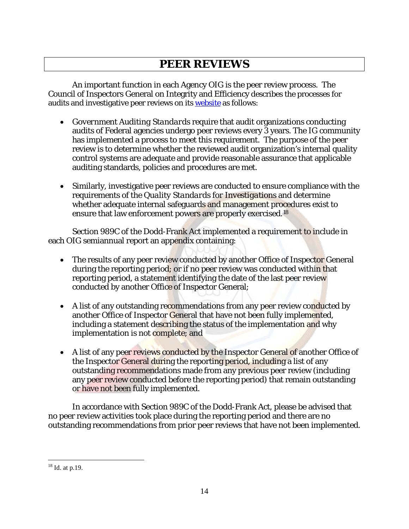# **PEER REVIEWS**

<span id="page-20-0"></span>An important function in each Agency OIG is the peer review process. The Council of Inspectors General on Integrity and Efficiency describes the processes for audits and investigative peer reviews on its [website](https://www.ignet.gov/content/manuals-guides) as follows:

- *Government Auditing Standards* require that audit organizations conducting audits of Federal agencies undergo peer reviews every 3 years. The IG community has implemented a process to meet this requirement. The purpose of the peer review is to determine whether the reviewed audit organization's internal quality control systems are adequate and provide reasonable assurance that applicable auditing standards, policies and procedures are met.
- Similarly, investigative peer reviews are conducted to ensure compliance with the requirements of the *Quality Standards for Investigations* and determine whether adequate internal safeguards and management procedures exist to ensure that law enforcement powers are properly exercised.[18](#page-20-1)

Section 989C of the Dodd-Frank Act implemented a requirement to include in each OIG semiannual report an appendix containing:

- The results of any peer review conducted by another Office of Inspector General during the reporting period; or if no peer review was conducted within that reporting period, a statement identifying the date of the last peer review conducted by another Office of Inspector General;
- A list of any outstanding recommendations from any peer review conducted by another Office of Inspector General that have not been fully implemented, including a statement describing the status of the implementation and why implementation is not complete; and
- A list of any peer reviews conducted by the Inspector General of another Office of the Inspector General during the reporting period, including a list of any outstanding recommendations made from any previous peer review (including any peer review conducted before the reporting period) that remain outstanding or have not been fully implemented.

In accordance with Section 989C of the Dodd-Frank Act, please be advised that no peer review activities took place during the reporting period and there are no outstanding recommendations from prior peer reviews that have not been implemented.

<span id="page-20-1"></span> $\overline{a}$  $18$  Id. at p.19.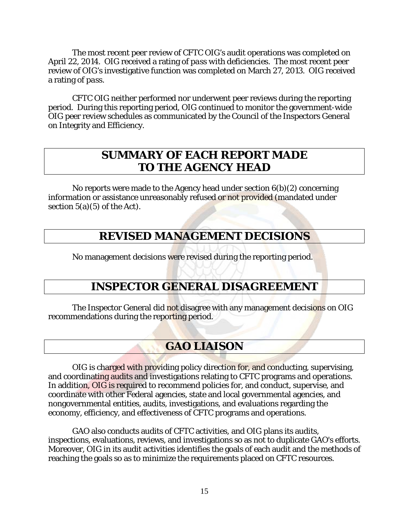The most recent peer review of CFTC OIG's audit operations was completed on April 22, 2014. OIG received a rating of *pass with deficiencies*. The most recent peer review of OIG's investigative function was completed on March 27, 2013. OIG received a rating of *pass*.

CFTC OIG neither performed nor underwent peer reviews during the reporting period. During this reporting period, OIG continued to monitor the government-wide OIG peer review schedules as communicated by the Council of the Inspectors General on Integrity and Efficiency.

### **SUMMARY OF EACH REPORT MADE TO THE AGENCY HEAD**

<span id="page-21-1"></span><span id="page-21-0"></span>No reports were made to the Agency head under section 6(b)(2) concerning information or assistance unreasonably refused or not provided (mandated under section  $5(a)(5)$  of the Act).

### **REVISED MANAGEMENT DECISIONS**

<span id="page-21-2"></span>No management decisions were revised during the reporting period.

### **INSPECTOR GENERAL DISAGREEMENT**

<span id="page-21-3"></span>The Inspector General did not disagree with any management decisions on OIG recommendations during the reporting period.

### **GAO LIAISON**

<span id="page-21-4"></span>OIG is charged with providing policy direction for, and conducting, supervising, and coordinating audits and investigations relating to CFTC programs and operations. In addition, OIG is required to recommend policies for, and conduct, supervise, and coordinate with other Federal agencies, state and local governmental agencies, and nongovernmental entities, audits, investigations, and evaluations regarding the economy, efficiency, and effectiveness of CFTC programs and operations.

GAO also conducts audits of CFTC activities, and OIG plans its audits, inspections, evaluations, reviews, and investigations so as not to duplicate GAO's efforts. Moreover, OIG in its audit activities identifies the goals of each audit and the methods of reaching the goals so as to minimize the requirements placed on CFTC resources.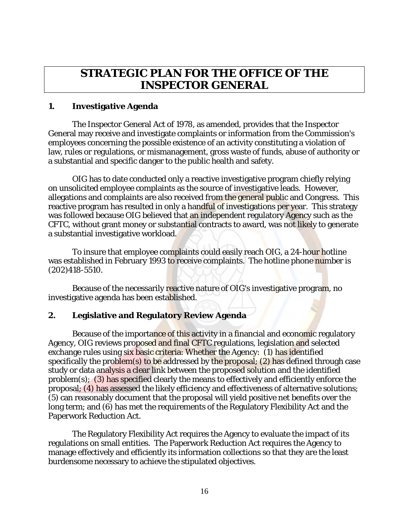### <span id="page-22-0"></span>**STRATEGIC PLAN FOR THE OFFICE OF THE INSPECTOR GENERAL**

#### <span id="page-22-1"></span>**1. Investigative Agenda**

The Inspector General Act of 1978, as amended, provides that the Inspector General may receive and investigate complaints or information from the Commission's employees concerning the possible existence of an activity constituting a violation of law, rules or regulations, or mismanagement, gross waste of funds, abuse of authority or a substantial and specific danger to the public health and safety.

OIG has to date conducted only a reactive investigative program chiefly relying on unsolicited employee complaints as the source of investigative leads. However, allegations and complaints are also received from the general public and Congress. This reactive program has resulted in only a handful of investigations per year. This strategy was followed because OIG believed that an independent regulatory Agency such as the CFTC, without grant money or substantial contracts to award, was not likely to generate a substantial investigative workload.

To insure that employee complaints could easily reach OIG, a 24-hour hotline was established in February 1993 to receive complaints. The hotline phone number is (202)418-5510.

Because of the necessarily reactive nature of OIG's investigative program, no investigative agenda has been established.

#### <span id="page-22-2"></span>**2. Legislative and Regulatory Review Agenda**

Because of the importance of this activity in a financial and economic regulatory Agency, OIG reviews proposed and final CFTC regulations, legislation and selected exchange rules using six basic criteria: Whether the Agency: (1) has identified specifically the problem(s) to be addressed by the proposal; (2) has defined through case study or data analysis a clear link between the proposed solution and the identified problem(s); (3) has specified clearly the means to effectively and efficiently enforce the proposal; (4) has assessed the likely efficiency and effectiveness of alternative solutions; (5) can reasonably document that the proposal will yield positive net benefits over the long term; and (6) has met the requirements of the Regulatory Flexibility Act and the Paperwork Reduction Act.

The Regulatory Flexibility Act requires the Agency to evaluate the impact of its regulations on small entities. The Paperwork Reduction Act requires the Agency to manage effectively and efficiently its information collections so that they are the least burdensome necessary to achieve the stipulated objectives.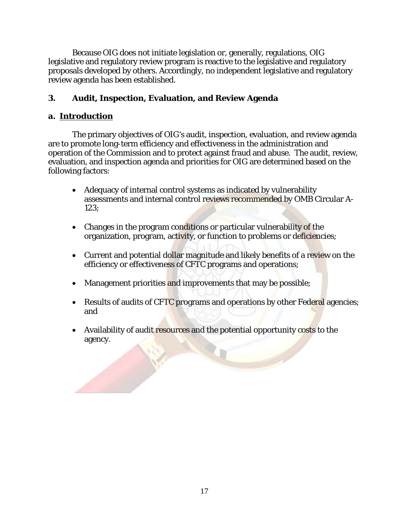Because OIG does not initiate legislation or, generally, regulations, OIG legislative and regulatory review program is reactive to the legislative and regulatory proposals developed by others. Accordingly, no independent legislative and regulatory review agenda has been established.

#### <span id="page-23-0"></span>**3. Audit, Inspection, Evaluation, and Review Agenda**

#### **a. Introduction**

The primary objectives of OIG's audit, inspection, evaluation, and review agenda are to promote long-term efficiency and effectiveness in the administration and operation of the Commission and to protect against fraud and abuse. The audit, review, evaluation, and inspection agenda and priorities for OIG are determined based on the following factors:

- Adequacy of internal control systems as indicated by vulnerability assessments and internal control reviews recommended by OMB Circular A-123;
- Changes in the program conditions or particular vulnerability of the organization, program, activity, or function to problems or deficiencies;
- Current and potential dollar magnitude and likely benefits of a review on the efficiency or effectiveness of CFTC programs and operations;
- Management priorities and improvements that may be possible;
- Results of audits of CFTC programs and operations by other Federal agencies; and
- Availability of audit resources and the potential opportunity costs to the agency.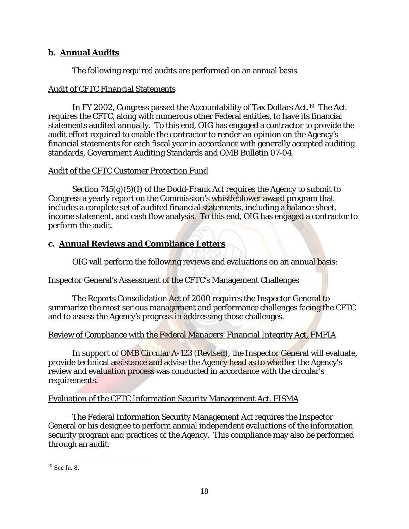#### **b. Annual Audits**

The following required audits are performed on an annual basis.

#### Audit of CFTC Financial Statements

In FY 2002, Congress passed the Accountability of Tax Dollars Act.[19](#page-24-0) The Act requires the CFTC, along with numerous other Federal entities, to have its financial statements audited annually. To this end, OIG has engaged a contractor to provide the audit effort required to enable the contractor to render an opinion on the Agency's financial statements for each fiscal year in accordance with generally accepted auditing standards, Government Auditing Standards and OMB Bulletin 07-04.

#### Audit of the CFTC Customer Protection Fund

Section  $745(g)(5)(I)$  of the Dodd-Frank Act requires the Agency to submit to Congress a yearly report on the Commission's whistleblower award program that includes a complete set of audited financial statements, including a balance sheet, income statement, and cash flow analysis. To this end, OIG has engaged a contractor to perform the audit.

#### **c. Annual Reviews and Compliance Letters**

OIG will perform the following reviews and evaluations on an annual basis:

#### Inspector General's Assessment of the CFTC's Management Challenges

The Reports Consolidation Act of 2000 requires the Inspector General to summarize the most serious management and performance challenges facing the CFTC and to assess the Agency's progress in addressing those challenges.

#### Review of Compliance with the Federal Managers' Financial Integrity Act, FMFIA

In support of OMB Circular A-123 (Revised), the Inspector General will evaluate, provide technical assistance and advise the Agency head as to whether the Agency's review and evaluation process was conducted in accordance with the circular's requirements.

#### Evaluation of the CFTC Information Security Management Act, FISMA

 The Federal Information Security Management Act requires the Inspector General or his designee to perform annual independent evaluations of the information security program and practices of the Agency. This compliance may also be performed through an audit.

<span id="page-24-0"></span> $\overline{a}$  $19$  See fn. 8.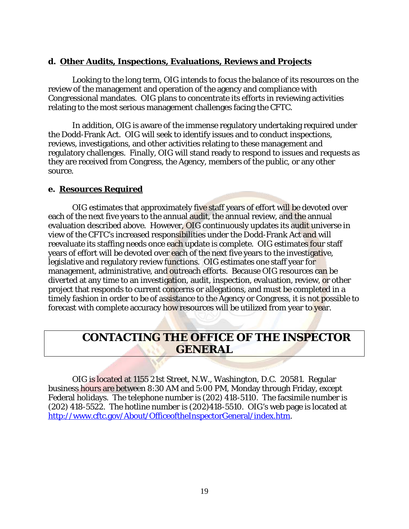#### **d. Other Audits, Inspections, Evaluations, Reviews and Projects**

Looking to the long term, OIG intends to focus the balance of its resources on the review of the management and operation of the agency and compliance with Congressional mandates. OIG plans to concentrate its efforts in reviewing activities relating to the most serious management challenges facing the CFTC.

In addition, OIG is aware of the immense regulatory undertaking required under the Dodd-Frank Act. OIG will seek to identify issues and to conduct inspections, reviews, investigations, and other activities relating to these management and regulatory challenges. Finally, OIG will stand ready to respond to issues and requests as they are received from Congress, the Agency, members of the public, or any other source.

#### **e. Resources Required**

OIG estimates that approximately five staff years of effort will be devoted over each of the next five years to the annual audit, the annual review, and the annual evaluation described above. However, OIG continuously updates its audit universe in view of the CFTC's increased responsibilities under the Dodd-Frank Act and will reevaluate its staffing needs once each update is complete. OIG estimates four staff years of effort will be devoted over each of the next five years to the investigative, legislative and regulatory review functions. OIG estimates one staff year for management, administrative, and outreach efforts. Because OIG resources can be diverted at any time to an investigation, audit, inspection, evaluation, review, or other project that responds to current concerns or allegations, and must be completed in a timely fashion in order to be of assistance to the Agency or Congress, it is not possible to forecast with complete accuracy how resources will be utilized from year to year.

### <span id="page-25-0"></span>**CONTACTING THE OFFICE OF THE INSPECTOR GENERAL**

OIG is located at 1155 21st Street, N.W., Washington, D.C. 20581. Regular business hours are between 8:30 AM and 5:00 PM, Monday through Friday, except Federal holidays. The telephone number is (202) 418-5110. The facsimile number is  $(202)$  418-5522. The hotline number is  $(202)$ 418-5510. OIG's web page is located at [http://www.cftc.gov/About/OfficeoftheInspectorGeneral/index.htm.](http://www.cftc.gov/About/OfficeoftheInspectorGeneral/index.htm)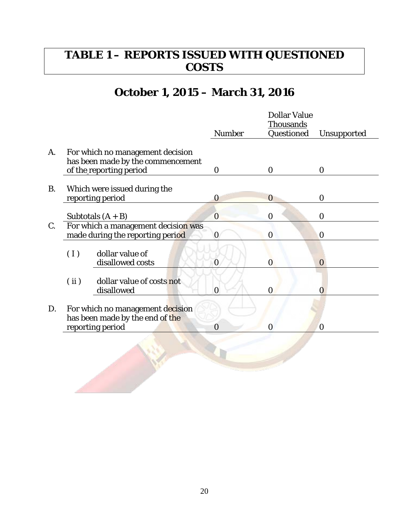# <span id="page-26-0"></span>**TABLE 1 – REPORTS ISSUED WITH QUESTIONED COSTS**

# **October 1, 2015 – March 31, 2016**

|           |                                                                         |                                                                                                  |                  | <b>Dollar Value</b>            |                    |
|-----------|-------------------------------------------------------------------------|--------------------------------------------------------------------------------------------------|------------------|--------------------------------|--------------------|
|           |                                                                         |                                                                                                  | <b>Number</b>    | <b>Thousands</b><br>Questioned | <b>Unsupported</b> |
| A.        |                                                                         | For which no management decision<br>has been made by the commencement<br>of the reporting period | $\boldsymbol{0}$ | $\boldsymbol{0}$               | $\bf{0}$           |
| <b>B.</b> |                                                                         | Which were issued during the<br>reporting period                                                 | 0                | $\bf{0}$                       | $\mathbf{0}$       |
|           |                                                                         | Subtotals $(A + B)$                                                                              | $\bf{0}$         | $\mathbf 0$                    | $\bf{0}$           |
| C.        | For which a management decision was<br>made during the reporting period |                                                                                                  | $\bf{0}$         | $\overline{0}$                 | $\mathbf{0}$       |
|           | (I)                                                                     | dollar value of<br>disallowed costs                                                              | $\mathbf 0$      | $\overline{0}$                 | $\overline{0}$     |
|           | (ii)                                                                    | dollar value of costs not<br>disallowed                                                          | $\mathbf{0}$     | $\mathbf{0}$                   | $\bf{0}$           |
| D.        |                                                                         | For which no management decision<br>has been made by the end of the                              | $\overline{0}$   | $\overline{0}$                 | $\bf{0}$           |
|           |                                                                         | reporting period                                                                                 |                  |                                |                    |